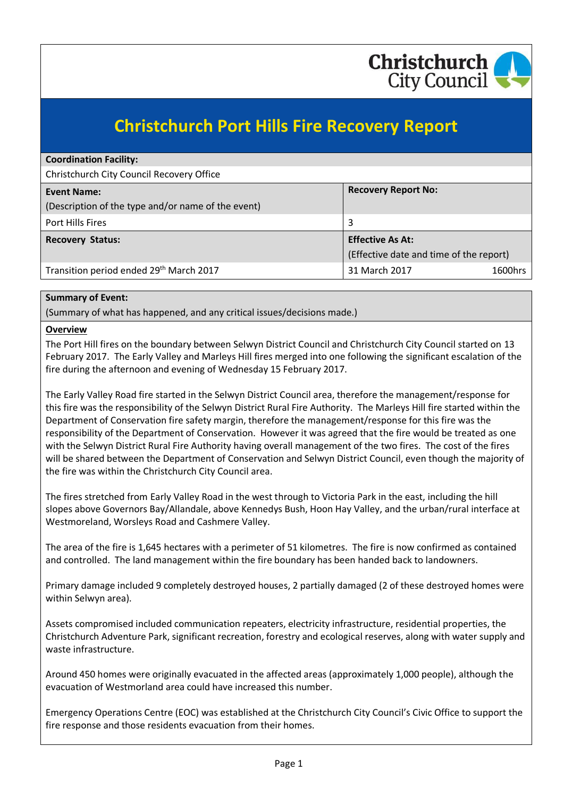

# **Christchurch Port Hills Fire Recovery Report**

| <b>Coordination Facility:</b>                      |                                         |  |
|----------------------------------------------------|-----------------------------------------|--|
| Christchurch City Council Recovery Office          |                                         |  |
| <b>Event Name:</b>                                 | <b>Recovery Report No:</b>              |  |
| (Description of the type and/or name of the event) |                                         |  |
| Port Hills Fires                                   | 3                                       |  |
| <b>Recovery Status:</b>                            | <b>Effective As At:</b>                 |  |
|                                                    | (Effective date and time of the report) |  |
| Transition period ended 29th March 2017            | 31 March 2017<br>1600hrs                |  |

#### **Summary of Event:**

(Summary of what has happened, and any critical issues/decisions made.)

#### **Overview**

The Port Hill fires on the boundary between Selwyn District Council and Christchurch City Council started on 13 February 2017. The Early Valley and Marleys Hill fires merged into one following the significant escalation of the fire during the afternoon and evening of Wednesday 15 February 2017.

The Early Valley Road fire started in the Selwyn District Council area, therefore the management/response for this fire was the responsibility of the Selwyn District Rural Fire Authority. The Marleys Hill fire started within the Department of Conservation fire safety margin, therefore the management/response for this fire was the responsibility of the Department of Conservation. However it was agreed that the fire would be treated as one with the Selwyn District Rural Fire Authority having overall management of the two fires. The cost of the fires will be shared between the Department of Conservation and Selwyn District Council, even though the majority of the fire was within the Christchurch City Council area.

The fires stretched from Early Valley Road in the west through to Victoria Park in the east, including the hill slopes above Governors Bay/Allandale, above Kennedys Bush, Hoon Hay Valley, and the urban/rural interface at Westmoreland, Worsleys Road and Cashmere Valley.

The area of the fire is 1,645 hectares with a perimeter of 51 kilometres. The fire is now confirmed as contained and controlled. The land management within the fire boundary has been handed back to landowners.

Primary damage included 9 completely destroyed houses, 2 partially damaged (2 of these destroyed homes were within Selwyn area).

Assets compromised included communication repeaters, electricity infrastructure, residential properties, the Christchurch Adventure Park, significant recreation, forestry and ecological reserves, along with water supply and waste infrastructure.

Around 450 homes were originally evacuated in the affected areas (approximately 1,000 people), although the evacuation of Westmorland area could have increased this number.

Emergency Operations Centre (EOC) was established at the Christchurch City Council's Civic Office to support the fire response and those residents evacuation from their homes.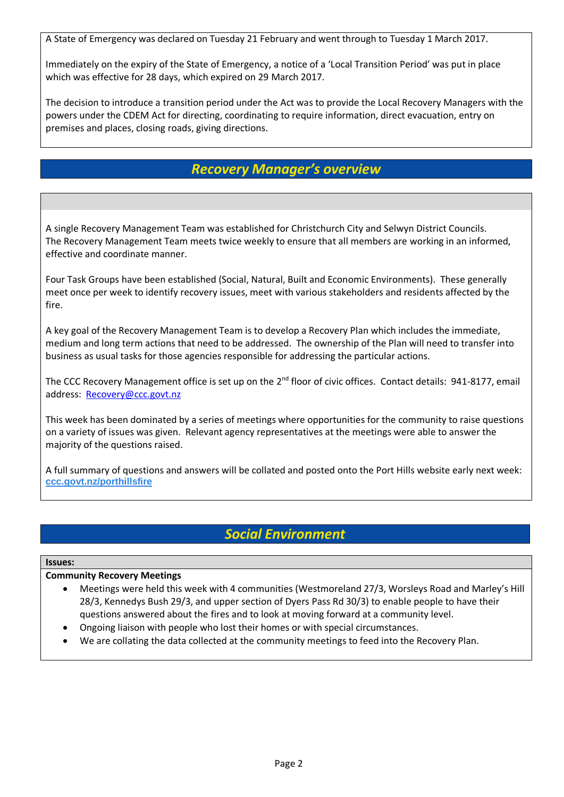A State of Emergency was declared on Tuesday 21 February and went through to Tuesday 1 March 2017.

Immediately on the expiry of the State of Emergency, a notice of a 'Local Transition Period' was put in place which was effective for 28 days, which expired on 29 March 2017.

The decision to introduce a transition period under the Act was to provide the Local Recovery Managers with the powers under the CDEM Act for directing, coordinating to require information, direct evacuation, entry on premises and places, closing roads, giving directions.

# *Recovery Manager's overview*

A single Recovery Management Team was established for Christchurch City and Selwyn District Councils. The Recovery Management Team meets twice weekly to ensure that all members are working in an informed, effective and coordinate manner.

Four Task Groups have been established (Social, Natural, Built and Economic Environments). These generally meet once per week to identify recovery issues, meet with various stakeholders and residents affected by the fire.

A key goal of the Recovery Management Team is to develop a Recovery Plan which includes the immediate, medium and long term actions that need to be addressed. The ownership of the Plan will need to transfer into business as usual tasks for those agencies responsible for addressing the particular actions.

The CCC Recovery Management office is set up on the 2<sup>nd</sup> floor of civic offices. Contact details: 941-8177, email address: [Recovery@ccc.govt.nz](mailto:Recovery@ccc.govt.nz)

This week has been dominated by a series of meetings where opportunities for the community to raise questions on a variety of issues was given. Relevant agency representatives at the meetings were able to answer the majority of the questions raised.

A full summary of questions and answers will be collated and posted onto the Port Hills website early next week: **[ccc.govt.nz/porthillsfire](http://christchurchcitycouncil.cmail20.com/t/r-l-yuzlttd-huvzokj-p/)**

# *Social Environment*

#### **Issues:**

#### **Community Recovery Meetings**

- Meetings were held this week with 4 communities (Westmoreland 27/3, Worsleys Road and Marley's Hill 28/3, Kennedys Bush 29/3, and upper section of Dyers Pass Rd 30/3) to enable people to have their questions answered about the fires and to look at moving forward at a community level.
- Ongoing liaison with people who lost their homes or with special circumstances.
- We are collating the data collected at the community meetings to feed into the Recovery Plan.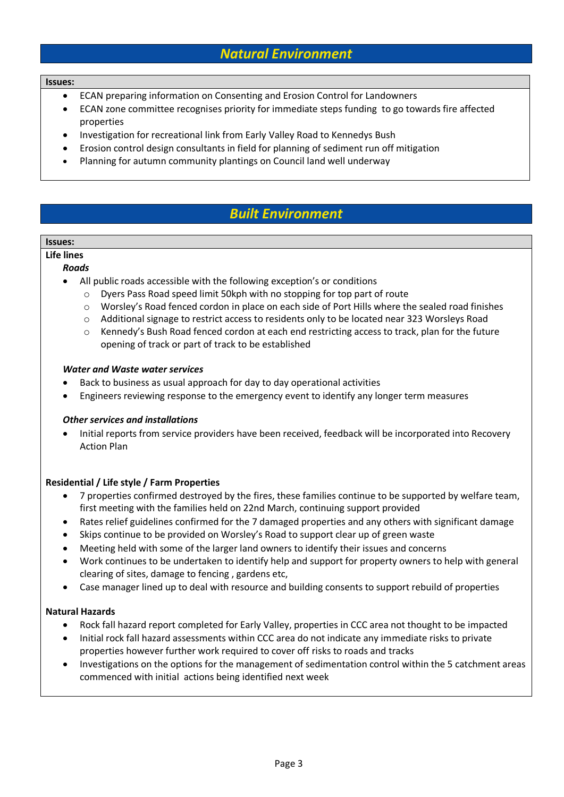### *Natural Environment*

#### **Issues:**

- ECAN preparing information on Consenting and Erosion Control for Landowners
- ECAN zone committee recognises priority for immediate steps funding to go towards fire affected properties
- Investigation for recreational link from Early Valley Road to Kennedys Bush
- Erosion control design consultants in field for planning of sediment run off mitigation
- Planning for autumn community plantings on Council land well underway

# *Built Environment*

#### **Issues:**

#### **Life lines**

#### *Roads*

- All public roads accessible with the following exception's or conditions
	- o Dyers Pass Road speed limit 50kph with no stopping for top part of route
	- o Worsley's Road fenced cordon in place on each side of Port Hills where the sealed road finishes
	- o Additional signage to restrict access to residents only to be located near 323 Worsleys Road
	- o Kennedy's Bush Road fenced cordon at each end restricting access to track, plan for the future opening of track or part of track to be established

#### *Water and Waste water services*

- Back to business as usual approach for day to day operational activities
- Engineers reviewing response to the emergency event to identify any longer term measures

#### *Other services and installations*

 Initial reports from service providers have been received, feedback will be incorporated into Recovery Action Plan

#### **Residential / Life style / Farm Properties**

- 7 properties confirmed destroyed by the fires, these families continue to be supported by welfare team, first meeting with the families held on 22nd March, continuing support provided
- Rates relief guidelines confirmed for the 7 damaged properties and any others with significant damage
- Skips continue to be provided on Worsley's Road to support clear up of green waste
- Meeting held with some of the larger land owners to identify their issues and concerns
- Work continues to be undertaken to identify help and support for property owners to help with general clearing of sites, damage to fencing , gardens etc,
- Case manager lined up to deal with resource and building consents to support rebuild of properties

#### **Natural Hazards**

- Rock fall hazard report completed for Early Valley, properties in CCC area not thought to be impacted
- Initial rock fall hazard assessments within CCC area do not indicate any immediate risks to private properties however further work required to cover off risks to roads and tracks
- Investigations on the options for the management of sedimentation control within the 5 catchment areas commenced with initial actions being identified next week